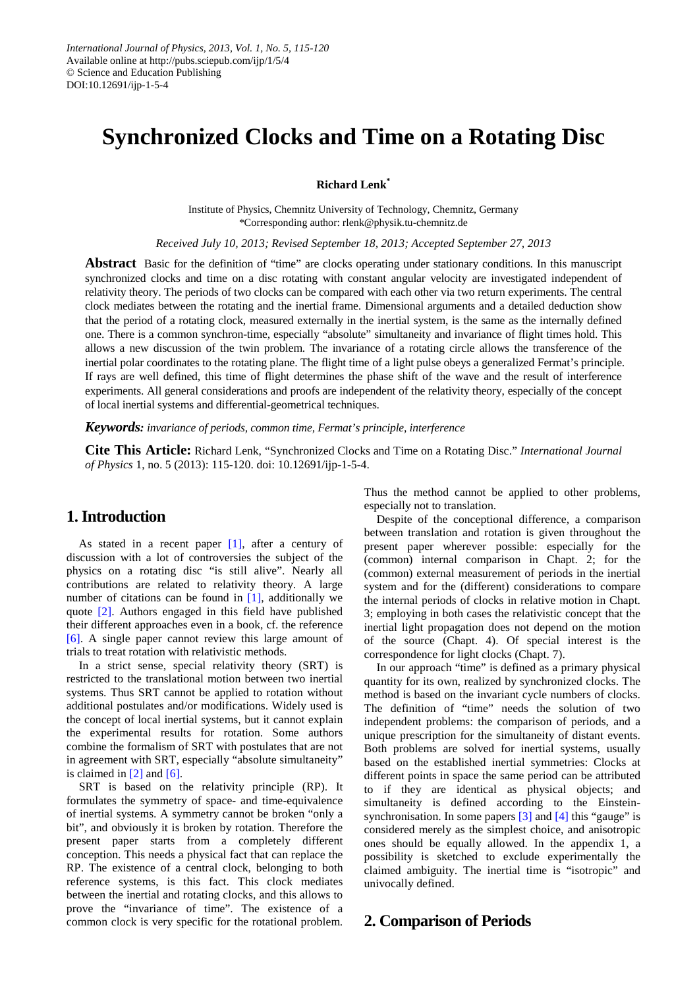# **Synchronized Clocks and Time on a Rotating Disc**

**Richard Lenk\***

Institute of Physics, Chemnitz University of Technology, Chemnitz, Germany \*Corresponding author: rlenk@physik.tu-chemnitz.de

*Received July 10, 2013; Revised September 18, 2013; Accepted September 27, 2013*

**Abstract** Basic for the definition of "time" are clocks operating under stationary conditions. In this manuscript synchronized clocks and time on a disc rotating with constant angular velocity are investigated independent of relativity theory. The periods of two clocks can be compared with each other via two return experiments. The central clock mediates between the rotating and the inertial frame. Dimensional arguments and a detailed deduction show that the period of a rotating clock, measured externally in the inertial system, is the same as the internally defined one. There is a common synchron-time, especially "absolute" simultaneity and invariance of flight times hold. This allows a new discussion of the twin problem. The invariance of a rotating circle allows the transference of the inertial polar coordinates to the rotating plane. The flight time of a light pulse obeys a generalized Fermat's principle. If rays are well defined, this time of flight determines the phase shift of the wave and the result of interference experiments. All general considerations and proofs are independent of the relativity theory, especially of the concept of local inertial systems and differential-geometrical techniques.

*Keywords: invariance of periods, common time, Fermat's principle, interference*

**Cite This Article:** Richard Lenk, "Synchronized Clocks and Time on a Rotating Disc." *International Journal of Physics* 1, no. 5 (2013): 115-120. doi: 10.12691/ijp-1-5-4.

### **1. Introduction**

As stated in a recent paper [\[1\],](#page-5-0) after a century of discussion with a lot of controversies the subject of the physics on a rotating disc "is still alive". Nearly all contributions are related to relativity theory. A large number of citations can be found in [\[1\],](#page-5-0) additionally we quote [\[2\].](#page-5-1) Authors engaged in this field have published their different approaches even in a book, cf. the reference [\[6\].](#page-5-2) A single paper cannot review this large amount of trials to treat rotation with relativistic methods.

In a strict sense, special relativity theory (SRT) is restricted to the translational motion between two inertial systems. Thus SRT cannot be applied to rotation without additional postulates and/or modifications. Widely used is the concept of local inertial systems, but it cannot explain the experimental results for rotation. Some authors combine the formalism of SRT with postulates that are not in agreement with SRT, especially "absolute simultaneity" is claimed in  $[2]$  and  $[6]$ .

SRT is based on the relativity principle (RP). It formulates the symmetry of space- and time-equivalence of inertial systems. A symmetry cannot be broken "only a bit", and obviously it is broken by rotation. Therefore the present paper starts from a completely different conception. This needs a physical fact that can replace the RP. The existence of a central clock, belonging to both reference systems, is this fact. This clock mediates between the inertial and rotating clocks, and this allows to prove the "invariance of time". The existence of a common clock is very specific for the rotational problem.

Thus the method cannot be applied to other problems, especially not to translation.

Despite of the conceptional difference, a comparison between translation and rotation is given throughout the present paper wherever possible: especially for the (common) internal comparison in Chapt. 2; for the (common) external measurement of periods in the inertial system and for the (different) considerations to compare the internal periods of clocks in relative motion in Chapt. 3; employing in both cases the relativistic concept that the inertial light propagation does not depend on the motion of the source (Chapt. 4). Of special interest is the correspondence for light clocks (Chapt. 7).

In our approach "time" is defined as a primary physical quantity for its own, realized by synchronized clocks. The method is based on the invariant cycle numbers of clocks. The definition of "time" needs the solution of two independent problems: the comparison of periods, and a unique prescription for the simultaneity of distant events. Both problems are solved for inertial systems, usually based on the established inertial symmetries: Clocks at different points in space the same period can be attributed to if they are identical as physical objects; and simultaneity is defined according to the Einsteinsynchronisation. In some paper[s \[3\]](#page-5-3) an[d \[4\]](#page-5-4) this "gauge" is considered merely as the simplest choice, and anisotropic ones should be equally allowed. In the appendix 1, a possibility is sketched to exclude experimentally the claimed ambiguity. The inertial time is "isotropic" and univocally defined.

#### **2. Comparison of Periods**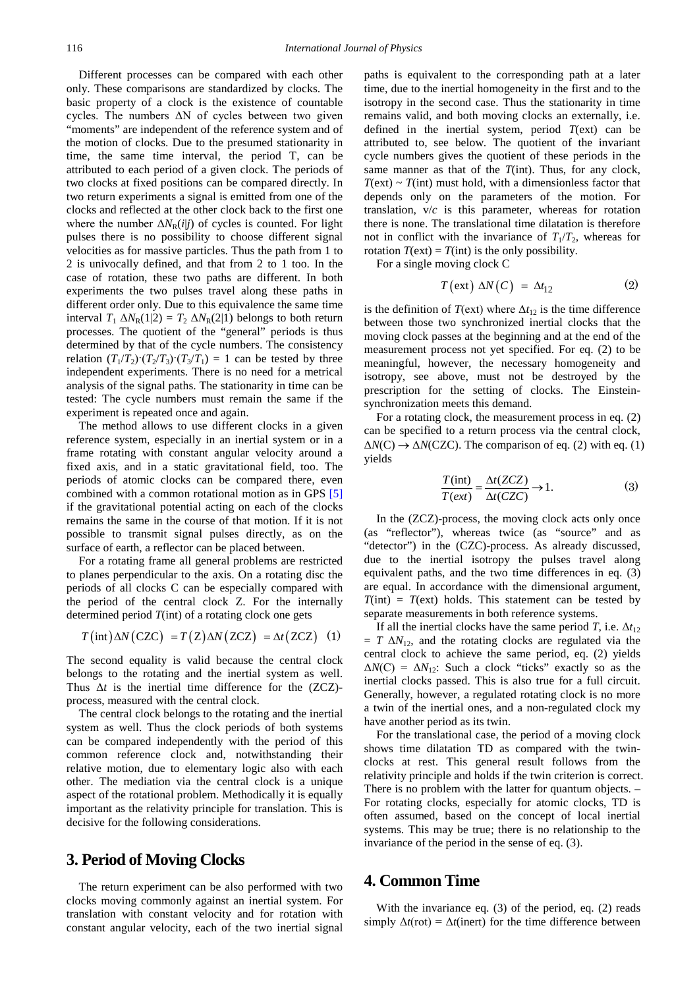Different processes can be compared with each other only. These comparisons are standardized by clocks. The basic property of a clock is the existence of countable cycles. The numbers ΔN of cycles between two given "moments" are independent of the reference system and of the motion of clocks. Due to the presumed stationarity in time, the same time interval, the period T, can be attributed to each period of a given clock. The periods of two clocks at fixed positions can be compared directly. In two return experiments a signal is emitted from one of the clocks and reflected at the other clock back to the first one where the number  $\Delta N_R(i|j)$  of cycles is counted. For light pulses there is no possibility to choose different signal velocities as for massive particles. Thus the path from 1 to 2 is univocally defined, and that from 2 to 1 too. In the case of rotation, these two paths are different. In both experiments the two pulses travel along these paths in different order only. Due to this equivalence the same time interval  $T_1 \Delta N_R(1|2) = T_2 \Delta N_R(2|1)$  belongs to both return processes. The quotient of the "general" periods is thus determined by that of the cycle numbers. The consistency relation  $(T_1/T_2)$   $(T_2/T_3)$   $(T_3/T_1) = 1$  can be tested by three independent experiments. There is no need for a metrical analysis of the signal paths. The stationarity in time can be tested: The cycle numbers must remain the same if the experiment is repeated once and again.

The method allows to use different clocks in a given reference system, especially in an inertial system or in a frame rotating with constant angular velocity around a fixed axis, and in a static gravitational field, too. The periods of atomic clocks can be compared there, even combined with a common rotational motion as in GPS [\[5\]](#page-5-5) if the gravitational potential acting on each of the clocks remains the same in the course of that motion. If it is not possible to transmit signal pulses directly, as on the surface of earth, a reflector can be placed between.

For a rotating frame all general problems are restricted to planes perpendicular to the axis. On a rotating disc the periods of all clocks C can be especially compared with the period of the central clock Z. For the internally determined period *T*(int) of a rotating clock one gets

$$
T(int)\Delta N (CZC) = T(Z)\Delta N (ZCZ) = \Delta t (ZCZ) \quad (1)
$$

The second equality is valid because the central clock belongs to the rotating and the inertial system as well. Thus  $\Delta t$  is the inertial time difference for the (ZCZ)process, measured with the central clock.

The central clock belongs to the rotating and the inertial system as well. Thus the clock periods of both systems can be compared independently with the period of this common reference clock and, notwithstanding their relative motion, due to elementary logic also with each other. The mediation via the central clock is a unique aspect of the rotational problem. Methodically it is equally important as the relativity principle for translation. This is decisive for the following considerations.

#### **3. Period of Moving Clocks**

The return experiment can be also performed with two clocks moving commonly against an inertial system. For translation with constant velocity and for rotation with constant angular velocity, each of the two inertial signal paths is equivalent to the corresponding path at a later time, due to the inertial homogeneity in the first and to the isotropy in the second case. Thus the stationarity in time remains valid, and both moving clocks an externally, i.e. defined in the inertial system, period  $T$ (ext) can be attributed to, see below. The quotient of the invariant cycle numbers gives the quotient of these periods in the same manner as that of the *T*(int). Thus, for any clock,  $T$ (ext)  $\sim$  *T*(int) must hold, with a dimensionless factor that depends only on the parameters of the motion. For translation, v/*c* is this parameter, whereas for rotation there is none. The translational time dilatation is therefore not in conflict with the invariance of  $T_1/T_2$ , whereas for rotation  $T$ (ext) =  $T$ (int) is the only possibility.

For a single moving clock C

$$
T\left(\text{ext}\right)\,\Delta N\left(\text{C}\right) \;=\; \Delta t_{12} \tag{2}
$$

is the definition of  $T$ (ext) where  $\Delta t_{12}$  is the time difference between those two synchronized inertial clocks that the moving clock passes at the beginning and at the end of the measurement process not yet specified. For eq. (2) to be meaningful, however, the necessary homogeneity and isotropy, see above, must not be destroyed by the prescription for the setting of clocks. The Einsteinsynchronization meets this demand.

For a rotating clock, the measurement process in eq. (2) can be specified to a return process via the central clock,  $\Delta N(C) \rightarrow \Delta N(CZC)$ . The comparison of eq. (2) with eq. (1) yields

$$
\frac{T(int)}{T(ex)} = \frac{\Delta t(ZCZ)}{\Delta t(CZC)} \to 1.
$$
 (3)

In the (ZCZ)-process, the moving clock acts only once (as "reflector"), whereas twice (as "source" and as "detector") in the (CZC)-process. As already discussed, due to the inertial isotropy the pulses travel along equivalent paths, and the two time differences in eq. (3) are equal. In accordance with the dimensional argument,  $T(int) = T(ext)$  holds. This statement can be tested by separate measurements in both reference systems.

If all the inertial clocks have the same period *T*, i.e.  $\Delta t_{12}$  $= T \Delta N_{12}$ , and the rotating clocks are regulated via the central clock to achieve the same period, eq. (2) yields  $\Delta N(C) = \Delta N_{12}$ : Such a clock "ticks" exactly so as the inertial clocks passed. This is also true for a full circuit. Generally, however, a regulated rotating clock is no more a twin of the inertial ones, and a non-regulated clock my have another period as its twin.

For the translational case, the period of a moving clock shows time dilatation TD as compared with the twinclocks at rest. This general result follows from the relativity principle and holds if the twin criterion is correct. There is no problem with the latter for quantum objects. – For rotating clocks, especially for atomic clocks, TD is often assumed, based on the concept of local inertial systems. This may be true; there is no relationship to the invariance of the period in the sense of eq. (3).

#### **4. Common Time**

With the invariance eq. (3) of the period, eq. (2) reads simply  $\Delta t$ (rot) =  $\Delta t$ (inert) for the time difference between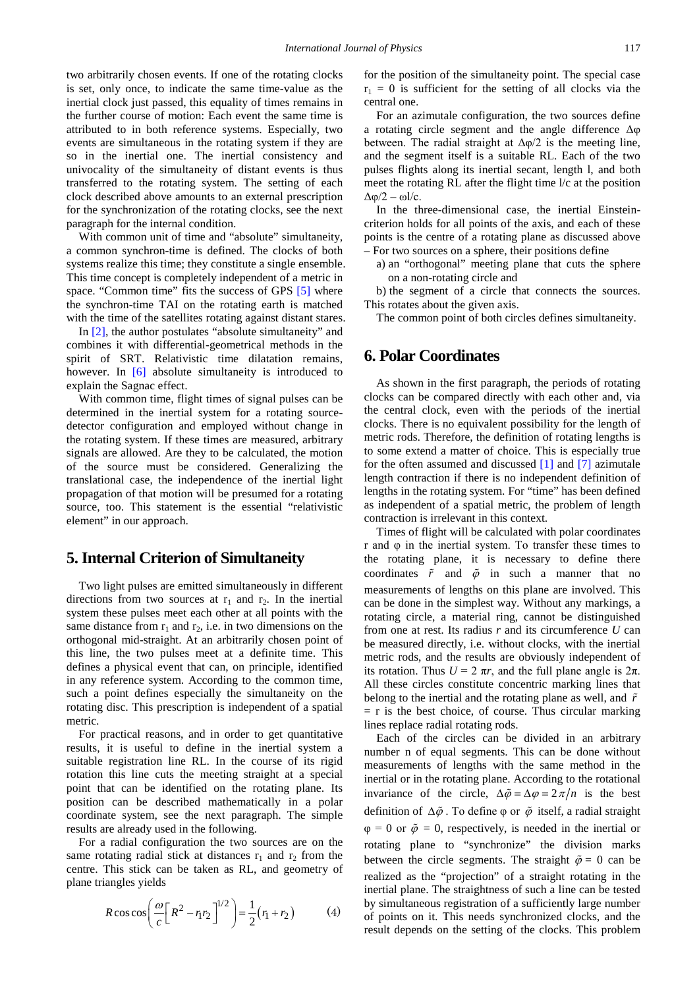two arbitrarily chosen events. If one of the rotating clocks is set, only once, to indicate the same time-value as the inertial clock just passed, this equality of times remains in the further course of motion: Each event the same time is attributed to in both reference systems. Especially, two events are simultaneous in the rotating system if they are so in the inertial one. The inertial consistency and univocality of the simultaneity of distant events is thus transferred to the rotating system. The setting of each clock described above amounts to an external prescription for the synchronization of the rotating clocks, see the next paragraph for the internal condition.

With common unit of time and "absolute" simultaneity, a common synchron-time is defined. The clocks of both systems realize this time; they constitute a single ensemble. This time concept is completely independent of a metric in space. "Common time" fits the success of GPS [\[5\]](#page-5-5) where the synchron-time TAI on the rotating earth is matched with the time of the satellites rotating against distant stares.

In [\[2\],](#page-5-1) the author postulates "absolute simultaneity" and combines it with differential-geometrical methods in the spirit of SRT. Relativistic time dilatation remains, however. In [\[6\]](#page-5-2) absolute simultaneity is introduced to explain the Sagnac effect.

With common time, flight times of signal pulses can be determined in the inertial system for a rotating sourcedetector configuration and employed without change in the rotating system. If these times are measured, arbitrary signals are allowed. Are they to be calculated, the motion of the source must be considered. Generalizing the translational case, the independence of the inertial light propagation of that motion will be presumed for a rotating source, too. This statement is the essential "relativistic element" in our approach.

### **5. Internal Criterion of Simultaneity**

Two light pulses are emitted simultaneously in different directions from two sources at  $r_1$  and  $r_2$ . In the inertial system these pulses meet each other at all points with the same distance from  $r_1$  and  $r_2$ , i.e. in two dimensions on the orthogonal mid-straight. At an arbitrarily chosen point of this line, the two pulses meet at a definite time. This defines a physical event that can, on principle, identified in any reference system. According to the common time, such a point defines especially the simultaneity on the rotating disc. This prescription is independent of a spatial metric.

For practical reasons, and in order to get quantitative results, it is useful to define in the inertial system a suitable registration line RL. In the course of its rigid rotation this line cuts the meeting straight at a special point that can be identified on the rotating plane. Its position can be described mathematically in a polar coordinate system, see the next paragraph. The simple results are already used in the following.

For a radial configuration the two sources are on the same rotating radial stick at distances  $r_1$  and  $r_2$  from the centre. This stick can be taken as RL, and geometry of plane triangles yields

$$
R\cos\cos\left(\frac{\omega}{c}\left[R^2 - r_1r_2\right]^{1/2}\right) = \frac{1}{2}(r_1 + r_2) \tag{4}
$$

for the position of the simultaneity point. The special case  $r_1 = 0$  is sufficient for the setting of all clocks via the central one.

For an azimutale configuration, the two sources define a rotating circle segment and the angle difference Δφ between. The radial straight at  $\Delta \varphi/2$  is the meeting line, and the segment itself is a suitable RL. Each of the two pulses flights along its inertial secant, length l, and both meet the rotating RL after the flight time l/c at the position  $Δφ/2 - ωl/c$ .

In the three-dimensional case, the inertial Einsteincriterion holds for all points of the axis, and each of these points is the centre of a rotating plane as discussed above – For two sources on a sphere, their positions define

a) an "orthogonal" meeting plane that cuts the sphere on a non-rotating circle and

b) the segment of a circle that connects the sources. This rotates about the given axis.

The common point of both circles defines simultaneity.

### **6. Polar Coordinates**

As shown in the first paragraph, the periods of rotating clocks can be compared directly with each other and, via the central clock, even with the periods of the inertial clocks. There is no equivalent possibility for the length of metric rods. Therefore, the definition of rotating lengths is to some extend a matter of choice. This is especially true for the often assumed and discussed [\[1\]](#page-5-0) and [\[7\]](#page-5-6) azimutale length contraction if there is no independent definition of lengths in the rotating system. For "time" has been defined as independent of a spatial metric, the problem of length contraction is irrelevant in this context.

Times of flight will be calculated with polar coordinates r and φ in the inertial system. To transfer these times to the rotating plane, it is necessary to define there coordinates  $\tilde{r}$  and  $\tilde{\varphi}$  in such a manner that no measurements of lengths on this plane are involved. This can be done in the simplest way. Without any markings, a rotating circle, a material ring, cannot be distinguished from one at rest. Its radius *r* and its circumference *U* can be measured directly, i.e. without clocks, with the inertial metric rods, and the results are obviously independent of its rotation. Thus  $U = 2 \pi r$ , and the full plane angle is  $2\pi$ . All these circles constitute concentric marking lines that belong to the inertial and the rotating plane as well, and *r*  $=$  r is the best choice, of course. Thus circular marking lines replace radial rotating rods.

Each of the circles can be divided in an arbitrary number n of equal segments. This can be done without measurements of lengths with the same method in the inertial or in the rotating plane. According to the rotational invariance of the circle,  $\Delta \tilde{\varphi} = \Delta \varphi = 2\pi/n$  is the best definition of  $\Delta\tilde{\varphi}$ . To define  $\varphi$  or  $\tilde{\varphi}$  itself, a radial straight  $\varphi = 0$  or  $\tilde{\varphi} = 0$ , respectively, is needed in the inertial or rotating plane to "synchronize" the division marks between the circle segments. The straight  $\tilde{\varphi} = 0$  can be realized as the "projection" of a straight rotating in the inertial plane. The straightness of such a line can be tested by simultaneous registration of a sufficiently large number of points on it. This needs synchronized clocks, and the result depends on the setting of the clocks. This problem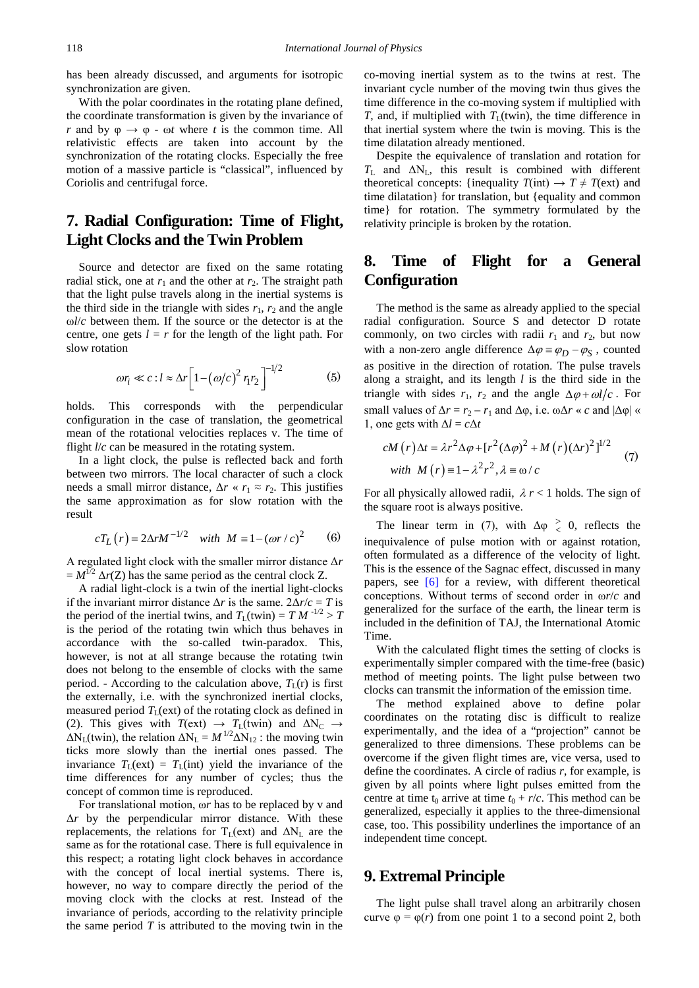has been already discussed, and arguments for isotropic synchronization are given.

With the polar coordinates in the rotating plane defined, the coordinate transformation is given by the invariance of *r* and by  $\varphi \rightarrow \varphi$  -  $\omega t$  where *t* is the common time. All relativistic effects are taken into account by the synchronization of the rotating clocks. Especially the free motion of a massive particle is "classical", influenced by Coriolis and centrifugal force.

# **7. Radial Configuration: Time of Flight, Light Clocks and the Twin Problem**

Source and detector are fixed on the same rotating radial stick, one at  $r_1$  and the other at  $r_2$ . The straight path that the light pulse travels along in the inertial systems is the third side in the triangle with sides  $r_1$ ,  $r_2$  and the angle ω*l*/*c* between them. If the source or the detector is at the centre, one gets  $l = r$  for the length of the light path. For slow rotation

$$
\omega r_i \ll c : l \approx \Delta r \left[ 1 - \left( \omega/c \right)^2 r_1 r_2 \right]^{-1/2} \tag{5}
$$

holds. This corresponds with the perpendicular configuration in the case of translation, the geometrical mean of the rotational velocities replaces v. The time of flight *l/c* can be measured in the rotating system.

In a light clock, the pulse is reflected back and forth between two mirrors. The local character of such a clock needs a small mirror distance,  $\Delta r \ll r_1 \approx r_2$ . This justifies the same approximation as for slow rotation with the result

$$
cT_L(r) = 2\Delta r M^{-1/2}
$$
 with  $M = 1 - (\omega r/c)^2$  (6)

A regulated light clock with the smaller mirror distance Δ*r*  $=M^{1/2}$   $\Delta r(Z)$  has the same period as the central clock Z.

A radial light-clock is a twin of the inertial light-clocks if the invariant mirror distance  $\Delta r$  is the same.  $2\Delta r/c = T$  is the period of the inertial twins, and  $T_L(twin) = T M^{-1/2} > T$ is the period of the rotating twin which thus behaves in accordance with the so-called twin-paradox. This, however, is not at all strange because the rotating twin does not belong to the ensemble of clocks with the same period. - According to the calculation above,  $T_L(r)$  is first the externally, i.e. with the synchronized inertial clocks, measured period  $T_L$ (ext) of the rotating clock as defined in (2). This gives with  $T(\text{ext}) \rightarrow T_L(\text{twin})$  and  $\Delta N_C \rightarrow$  $\Delta N_L$ (twin), the relation  $\Delta N_L = M^{1/2} \Delta N_{12}$ : the moving twin ticks more slowly than the inertial ones passed. The invariance  $T_L(\text{ext}) = T_L(\text{int})$  yield the invariance of the time differences for any number of cycles; thus the concept of common time is reproduced.

For translational motion, ω*r* has to be replaced by v and Δ*r* by the perpendicular mirror distance. With these replacements, the relations for  $T_L(ext)$  and  $\Delta N_L$  are the same as for the rotational case. There is full equivalence in this respect; a rotating light clock behaves in accordance with the concept of local inertial systems. There is, however, no way to compare directly the period of the moving clock with the clocks at rest. Instead of the invariance of periods, according to the relativity principle the same period  $T$  is attributed to the moving twin in the co-moving inertial system as to the twins at rest. The invariant cycle number of the moving twin thus gives the time difference in the co-moving system if multiplied with *T*, and, if multiplied with  $T_L(twin)$ , the time difference in that inertial system where the twin is moving. This is the time dilatation already mentioned.

Despite the equivalence of translation and rotation for  $T_L$  and  $\Delta N_L$ , this result is combined with different theoretical concepts: {inequality  $T(int) \rightarrow T \neq T(\text{ext})$  and time dilatation} for translation, but {equality and common time} for rotation. The symmetry formulated by the relativity principle is broken by the rotation.

# **8. Time of Flight for a General Configuration**

The method is the same as already applied to the special radial configuration. Source S and detector D rotate commonly, on two circles with radii  $r_1$  and  $r_2$ , but now with a non-zero angle difference  $\Delta \varphi = \varphi_D - \varphi_S$ , counted as positive in the direction of rotation. The pulse travels along a straight, and its length *l* is the third side in the triangle with sides  $r_1$ ,  $r_2$  and the angle  $\Delta \varphi + \omega l/c$ . For small values of  $\Delta r = r_2 - r_1$  and  $\Delta \varphi$ , i.e.  $\omega \Delta r \ll c$  and  $|\Delta \varphi| \ll$ 1, one gets with  $\Delta l = c \Delta t$ 

$$
cM(r)\Delta t = \lambda r^2 \Delta \varphi + [r^2 (\Delta \varphi)^2 + M (r) (\Delta r)^2]^{1/2}
$$
  
with  $M(r) = 1 - \lambda^2 r^2$ ,  $\lambda = \omega/c$  (7)

For all physically allowed radii,  $\lambda r < 1$  holds. The sign of the square root is always positive.

The linear term in (7), with  $\Delta \varphi \geq 0$ , reflects the inequivalence of pulse motion with or against rotation, often formulated as a difference of the velocity of light. This is the essence of the Sagnac effect, discussed in many papers, see [\[6\]](#page-5-2) for a review, with different theoretical conceptions. Without terms of second order in ω*r*/*c* and generalized for the surface of the earth, the linear term is included in the definition of TAJ, the International Atomic Time.

With the calculated flight times the setting of clocks is experimentally simpler compared with the time-free (basic) method of meeting points. The light pulse between two clocks can transmit the information of the emission time.

The method explained above to define polar coordinates on the rotating disc is difficult to realize experimentally, and the idea of a "projection" cannot be generalized to three dimensions. These problems can be overcome if the given flight times are, vice versa, used to define the coordinates. A circle of radius *r*, for example, is given by all points where light pulses emitted from the centre at time  $t_0$  arrive at time  $t_0 + r/c$ . This method can be generalized, especially it applies to the three-dimensional case, too. This possibility underlines the importance of an independent time concept.

### **9. Extremal Principle**

The light pulse shall travel along an arbitrarily chosen curve  $\varphi = \varphi(r)$  from one point 1 to a second point 2, both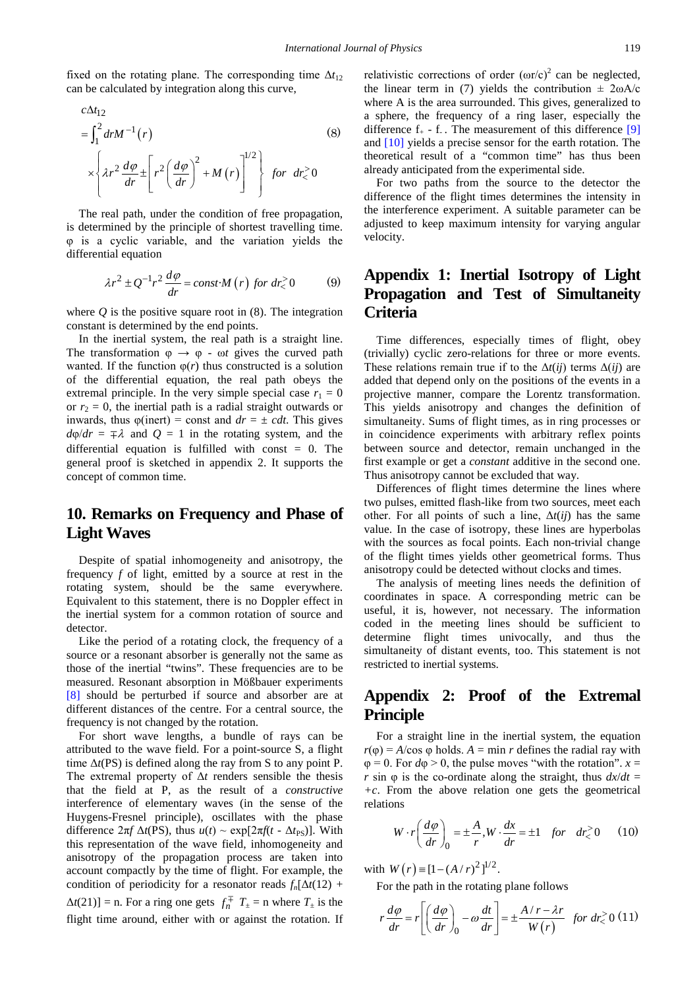fixed on the rotating plane. The corresponding time  $\Delta t_{12}$ can be calculated by integration along this curve,

$$
c\Delta t_{12}
$$
\n
$$
= \int_{1}^{2} dr M^{-1}(r)
$$
\n
$$
\times \left\{ \lambda r^{2} \frac{d\varphi}{dr} \pm \left[ r^{2} \left( \frac{d\varphi}{dr} \right)^{2} + M(r) \right]^{1/2} \right\} \text{ for } dr \ge 0
$$
\n(8)

The real path, under the condition of free propagation, is determined by the principle of shortest travelling time. φ is a cyclic variable, and the variation yields the differential equation

$$
\lambda r^2 \pm Q^{-1} r^2 \frac{d\varphi}{dr} = const \cdot M(r) \text{ for } dr_0^2 \ge 0 \tag{9}
$$

where  $Q$  is the positive square root in  $(8)$ . The integration constant is determined by the end points.

In the inertial system, the real path is a straight line. The transformation  $\varphi \to \varphi$  -  $\omega t$  gives the curved path wanted. If the function  $\varphi(r)$  thus constructed is a solution of the differential equation, the real path obeys the extremal principle. In the very simple special case  $r_1 = 0$ or  $r_2 = 0$ , the inertial path is a radial straight outwards or inwards, thus  $\varphi$ (inert) = const and  $dr = \pm cdt$ . This gives  $d\varphi/dr = \pm \lambda$  and  $Q = 1$  in the rotating system, and the differential equation is fulfilled with const = 0. The general proof is sketched in appendix 2. It supports the concept of common time.

### **10. Remarks on Frequency and Phase of Light Waves**

Despite of spatial inhomogeneity and anisotropy, the frequency *f* of light, emitted by a source at rest in the rotating system, should be the same everywhere. Equivalent to this statement, there is no Doppler effect in the inertial system for a common rotation of source and detector.

Like the period of a rotating clock, the frequency of a source or a resonant absorber is generally not the same as those of the inertial "twins". These frequencies are to be measured. Resonant absorption in Mößbauer experiments [\[8\]](#page-5-7) should be perturbed if source and absorber are at different distances of the centre. For a central source, the frequency is not changed by the rotation.

For short wave lengths, a bundle of rays can be attributed to the wave field. For a point-source S, a flight time Δ*t*(PS) is defined along the ray from S to any point P. The extremal property of Δ*t* renders sensible the thesis that the field at P, as the result of a *constructive* interference of elementary waves (in the sense of the Huygens-Fresnel principle), oscillates with the phase difference  $2\pi f \Delta t$ (PS), thus  $u(t) \sim \exp[2\pi f(t - \Delta t_{PS})]$ . With this representation of the wave field, inhomogeneity and anisotropy of the propagation process are taken into account compactly by the time of flight. For example, the condition of periodicity for a resonator reads  $f_n[\Delta t(12) +$  $\Delta t(21)$ ] = n. For a ring one gets  $f_n^{\mp}$   $T_{\pm}$  = n where  $T_{\pm}$  is the flight time around, either with or against the rotation. If relativistic corrections of order  $(\omega r/c)^2$  can be neglected, the linear term in (7) yields the contribution  $\pm 2\omega A/c$ where A is the area surrounded. This gives, generalized to a sphere, the frequency of a ring laser, especially the difference  $f_{+}$  - f<sub>-</sub>. The measurement of this difference [\[9\]](#page-5-8) and [\[10\]](#page-5-9) yields a precise sensor for the earth rotation. The theoretical result of a "common time" has thus been already anticipated from the experimental side.

For two paths from the source to the detector the difference of the flight times determines the intensity in the interference experiment. A suitable parameter can be adjusted to keep maximum intensity for varying angular velocity.

# **Appendix 1: Inertial Isotropy of Light Propagation and Test of Simultaneity Criteria**

Time differences, especially times of flight, obey (trivially) cyclic zero-relations for three or more events. These relations remain true if to the  $\Delta t(ij)$  terms  $\Delta (ij)$  are added that depend only on the positions of the events in a projective manner, compare the Lorentz transformation. This yields anisotropy and changes the definition of simultaneity. Sums of flight times, as in ring processes or in coincidence experiments with arbitrary reflex points between source and detector, remain unchanged in the first example or get a *constant* additive in the second one. Thus anisotropy cannot be excluded that way.

Differences of flight times determine the lines where two pulses, emitted flash-like from two sources, meet each other. For all points of such a line,  $\Delta t(ij)$  has the same value. In the case of isotropy, these lines are hyperbolas with the sources as focal points. Each non-trivial change of the flight times yields other geometrical forms. Thus anisotropy could be detected without clocks and times.

The analysis of meeting lines needs the definition of coordinates in space. A corresponding metric can be useful, it is, however, not necessary. The information coded in the meeting lines should be sufficient to determine flight times univocally, and thus the simultaneity of distant events, too. This statement is not restricted to inertial systems.

### **Appendix 2: Proof of the Extremal Principle**

For a straight line in the inertial system, the equation  $r(\varphi) = A/\cos \varphi$  holds.  $A = \min r$  defines the radial ray with  $\varphi = 0$ . For  $d\varphi > 0$ , the pulse moves "with the rotation".  $x =$ *r* sin  $\varphi$  is the co-ordinate along the straight, thus  $dx/dt =$ *+c*. From the above relation one gets the geometrical relations

$$
W \cdot r \left(\frac{d\varphi}{dr}\right)_0 = \pm \frac{A}{r}, W \cdot \frac{dx}{dr} = \pm 1 \quad \text{for} \quad dr > 0 \tag{10}
$$

with  $W(r) = [1 - (A/r)^2]^{1/2}$ .

For the path in the rotating plane follows

$$
r\frac{d\varphi}{dr} = r \left[ \left( \frac{d\varphi}{dr} \right)_0 - \omega \frac{dt}{dr} \right] = \pm \frac{A/r - \lambda r}{W(r)} \text{ for } dr \ge 0 \text{ (11)}
$$